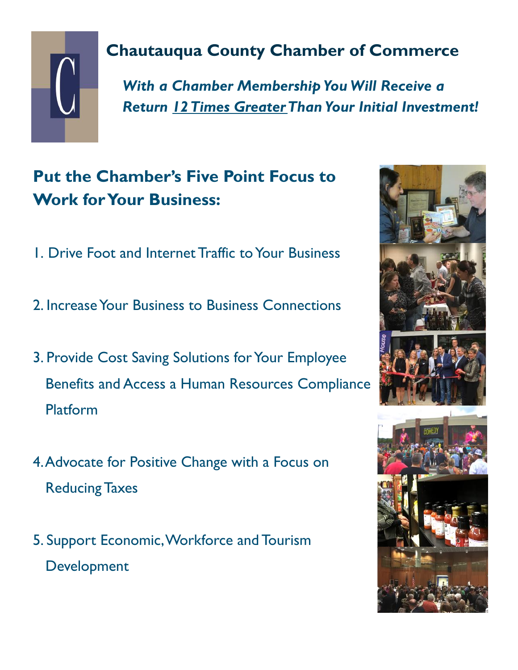

## **Chautauqua County Chamber of Commerce**

*With a Chamber Membership You Will Receive a Return 12 Times Greater Than Your Initial Investment!*

## **Put the Chamber's Five Point Focus to Work for Your Business:**

- 1. Drive Foot and Internet Traffic to Your Business
- 2. Increase Your Business to Business Connections
- 3. Provide Cost Saving Solutions for Your Employee Benefits and Access a Human Resources Compliance Platform
- 4. Advocate for Positive Change with a Focus on Reducing Taxes
- 5. Support Economic, Workforce and Tourism Development

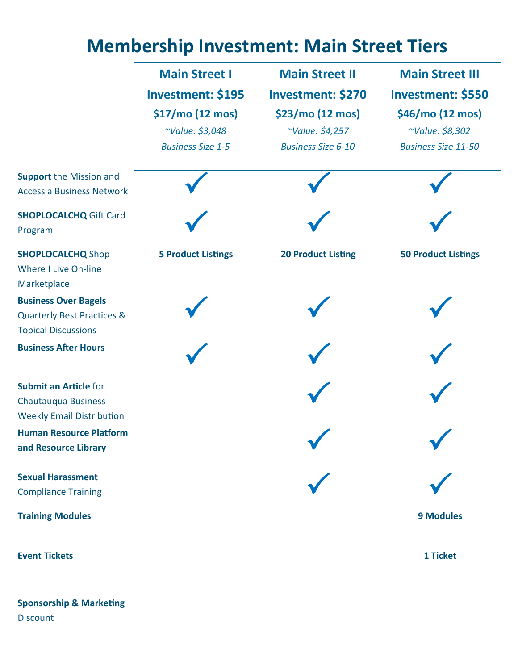## **Membership Investment: Main Street Tiers**

|                                                                        | <b>Main Street I</b>      | <b>Main Street II</b>     | <b>Main Street III</b>     |
|------------------------------------------------------------------------|---------------------------|---------------------------|----------------------------|
|                                                                        | <b>Investment: \$195</b>  | <b>Investment: \$270</b>  | <b>Investment: \$550</b>   |
|                                                                        | \$17/mo (12 mos)          | \$23/mo (12 mos)          | \$46/mo (12 mos)           |
|                                                                        | ~Value: \$3,048           | ~Value: \$4,257           | ~Value: \$8,302            |
|                                                                        | <b>Business Size 1-5</b>  | <b>Business Size 6-10</b> | <b>Business Size 11-50</b> |
| <b>Support the Mission and</b><br><b>Access a Business Network</b>     |                           |                           |                            |
| <b>SHOPLOCALCHQ Gift Card</b><br>Program                               |                           |                           |                            |
| <b>SHOPLOCALCHQ Shop</b><br><b>Where I Live On-line</b><br>Marketplace | <b>5 Product Listings</b> | <b>20 Product Listing</b> | <b>50 Product Listings</b> |
| <b>Business Over Bagels</b><br><b>Quarterly Best Practices &amp;</b>   |                           |                           |                            |
| <b>Topical Discussions</b>                                             |                           |                           |                            |
| <b>Business After Hours</b>                                            |                           |                           |                            |
| <b>Submit an Article for</b>                                           |                           |                           |                            |
| <b>Chautauqua Business</b>                                             |                           |                           |                            |
| <b>Weekly Email Distribution</b>                                       |                           |                           |                            |
| <b>Human Resource Platform</b><br>and Resource Library                 |                           |                           |                            |
| <b>Sexual Harassment</b>                                               |                           |                           |                            |
| <b>Compliance Training</b>                                             |                           |                           |                            |
| <b>Training Modules</b>                                                |                           |                           | <b>9 Modules</b>           |
| <b>Event Tickets</b>                                                   |                           |                           | 1 Ticket                   |

**Sponsorship & Marketing Discount**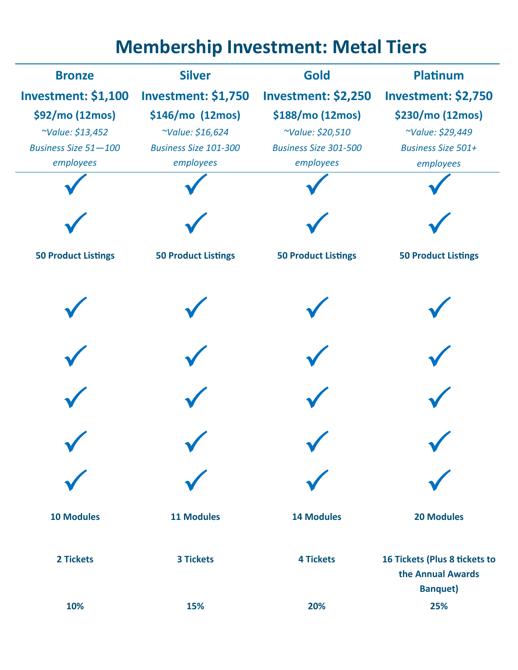## **Membership Investment: Metal Tiers**

| <b>Bronze</b>               | <b>Silver</b>                | <b>Gold</b>                  | <b>Platinum</b>                                                       |
|-----------------------------|------------------------------|------------------------------|-----------------------------------------------------------------------|
| <b>Investment: \$1,100</b>  | <b>Investment: \$1,750</b>   | <b>Investment: \$2,250</b>   | <b>Investment: \$2,750</b>                                            |
| \$92/mo (12mos)             | \$146/mo (12mos)             | \$188/mo (12mos)             | \$230/mo (12mos)                                                      |
| ~Value: \$13,452            | ~Value: \$16,624             | ~Value: \$20,510             | ~Value: \$29,449                                                      |
| <b>Business Size 51-100</b> | <b>Business Size 101-300</b> | <b>Business Size 301-500</b> | <b>Business Size 501+</b>                                             |
| employees                   | employees                    | employees                    | employees                                                             |
|                             |                              |                              |                                                                       |
|                             |                              |                              |                                                                       |
| <b>50 Product Listings</b>  | <b>50 Product Listings</b>   | <b>50 Product Listings</b>   | <b>50 Product Listings</b>                                            |
|                             |                              |                              |                                                                       |
|                             |                              |                              |                                                                       |
|                             |                              |                              |                                                                       |
|                             |                              |                              |                                                                       |
|                             |                              |                              |                                                                       |
| <b>10 Modules</b>           | <b>11 Modules</b>            | <b>14 Modules</b>            | <b>20 Modules</b>                                                     |
| 2 Tickets                   | <b>3 Tickets</b>             | <b>4 Tickets</b>             | 16 Tickets (Plus 8 tickets to<br>the Annual Awards<br><b>Banquet)</b> |
| 10%                         | 15%                          | 20%                          | 25%                                                                   |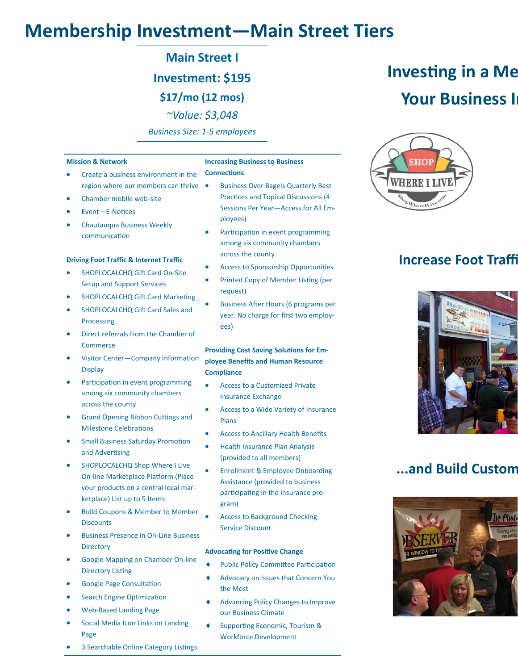## **Membership Investment—Main Street Tiers**

**Main Street I**

**Investment: \$195**

**\$17/mo (12 mos)**

*~Value: \$3,048*

*Business Size: 1-5 employees*

#### **Mission & Network** • Create a business environment in the region where our members can thrive Chamber mobile web-site • Event—E-Notices • Chautauqua Business Weekly communication **Driving Foot Traffic & Internet Traffic** SHOPLOCALCHQ Gift Card On-Site Setup and Support Services • SHOPLOCALCHQ Gift Card Marketing • SHOPLOCALCHQ Gift Card Sales and Processing • Direct referrals from the Chamber of Commerce • Visitor Center—Company Information **Display** • Participation in event programming among six community chambers across the county **Increasing Business to Business Connections** ployees) across the county request) ees) **Compliance** Insurance Exchange

- Grand Opening Ribbon Cuttings and Milestone Celebrations
- Small Business Saturday Promotion and Advertising
- SHOPLOCALCHQ Shop Where I Live On-line Marketplace Platform (Place your products on a central local marketplace) List up to 5 Items
- Build Coupons & Member to Member **Discounts**
- Business Presence in On-Line Business **Directory**
- Google Mapping on Chamber On-line Directory Listing
- Google Page Consultation
- Search Engine Optimization
- Web-Based Landing Page
- Social Media Icon Links on Landing Page
- 3 Searchable Online Category Listings
- Business Over Bagels Quarterly Best Practices and Topical Discussions (4 Sessions Per Year—Access for All Em-
- Participation in event programming among six community chambers
- Access to Sponsorship Opportunities
- Printed Copy of Member Listing (per
- Business After Hours (6 programs per year. No charge for first two employ-

## **Providing Cost Saving Solutions for Employee Benefits and Human Resource**

- Access to a Customized Private
- Access to a Wide Variety of Insurance Plans
- Access to Ancillary Health Benefits
- Health Insurance Plan Analysis (provided to all members)
- Enrollment & Employee Onboarding Assistance (provided to business participating in the insurance program)
- Access to Background Checking Service Discount

#### **Advocating for Positive Change**

- Public Policy Committee Participation
- Advocacy on Issues that Concern You the Most
- Advancing Policy Changes to Improve our Business Climate
- Supporting Economic, Tourism & Workforce Development

# **Investing in a Me Your Business I**



### **Increase Foot Traffi**



### **...and Build Custom**

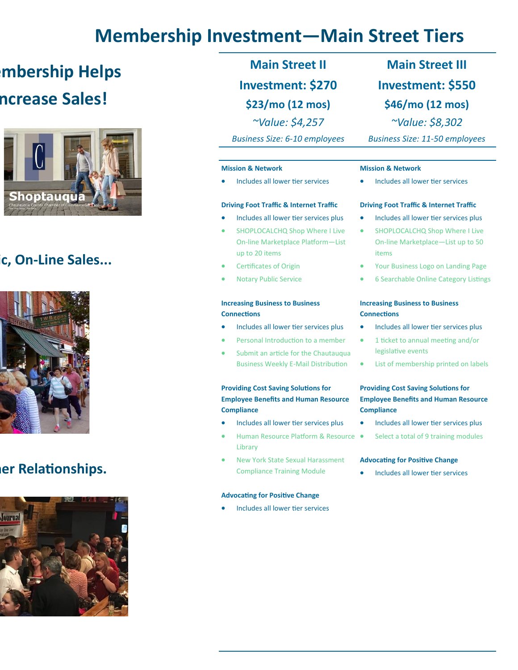## **Membership Investment—Main Street Tiers**

## **Imbership Helps ncrease Sales!**



### **Increase Foot Traffic, On-Line Sales...**



### **.er Relationships.**



**Main Street II Investment: \$270 \$23/mo (12 mos)** *~Value: \$4,257 Business Size: 6-10 employees*

#### **Mission & Network**

Includes all lower tier services

#### **Driving Foot Traffic & Internet Traffic**

- Includes all lower tier services plus
- SHOPLOCALCHQ Shop Where I Live On-line Marketplace Platform—List up to 20 items
- Certificates of Origin
- Notary Public Service

#### **Increasing Business to Business Connections**

- Includes all lower tier services plus
- Personal Introduction to a member
- Submit an article for the Chautauqua Business Weekly E-Mail Distribution

#### **Providing Cost Saving Solutions for Employee Benefits and Human Resource Compliance**

- Includes all lower tier services plus
- Human Resource Platform & Resource Library
- New York State Sexual Harassment Compliance Training Module

#### **Advocating for Positive Change**

• Includes all lower tier services

## **Main Street III Investment: \$550 \$46/mo (12 mos)**

*~Value: \$8,302*

*Business Size: 11-50 employees*

#### **Mission & Network**

Includes all lower tier services

#### **Driving Foot Traffic & Internet Traffic**

- Includes all lower tier services plus
- SHOPLOCALCHQ Shop Where I Live On-line Marketplace—List up to 50 items
- Your Business Logo on Landing Page
- 6 Searchable Online Category Listings

#### **Increasing Business to Business Connections**

- Includes all lower tier services plus
- 1 ticket to annual meeting and/or legislative events
- List of membership printed on labels

#### **Providing Cost Saving Solutions for Employee Benefits and Human Resource Compliance**

- Includes all lower tier services plus
- Select a total of 9 training modules

#### **Advocating for Positive Change**

• Includes all lower tier services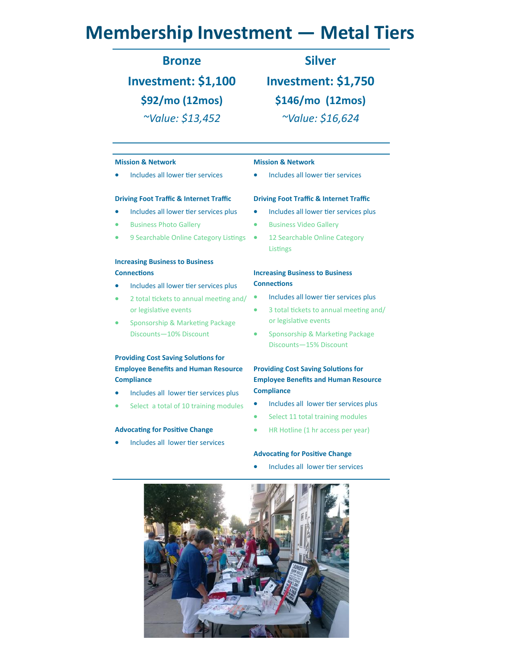## **Membership Investment — Metal Tiers**

### **Bronze**

## **Investment: \$1,100 \$92/mo (12mos)** *~Value: \$13,452*

### **Silver**

**Investment: \$1,750 \$146/mo (12mos)** *~Value: \$16,624*

#### **Mission & Network**

• Includes all lower tier services

#### **Driving Foot Traffic & Internet Traffic**

- Includes all lower tier services plus
- Business Photo Gallery
- 9 Searchable Online Category Listings

#### **Increasing Business to Business Connections**

- Includes all lower tier services plus
- 2 total tickets to annual meeting and/ or legislative events
- Sponsorship & Marketing Package Discounts—10% Discount

#### **Providing Cost Saving Solutions for Employee Benefits and Human Resource Compliance**

- Includes all lower tier services plus
- Select a total of 10 training modules

#### **Advocating for Positive Change**

Includes all lower tier services

### **Mission & Network**

• Includes all lower tier services

#### **Driving Foot Traffic & Internet Traffic**

- Includes all lower tier services plus
- Business Video Gallery
- 12 Searchable Online Category Listings

#### **Increasing Business to Business Connections**

- Includes all lower tier services plus
- 3 total tickets to annual meeting and/ or legislative events
- Sponsorship & Marketing Package Discounts—15% Discount

#### **Providing Cost Saving Solutions for Employee Benefits and Human Resource Compliance**

- Includes all lower tier services plus
- Select 11 total training modules
- HR Hotline (1 hr access per year)

#### **Advocating for Positive Change**

Includes all lower tier services

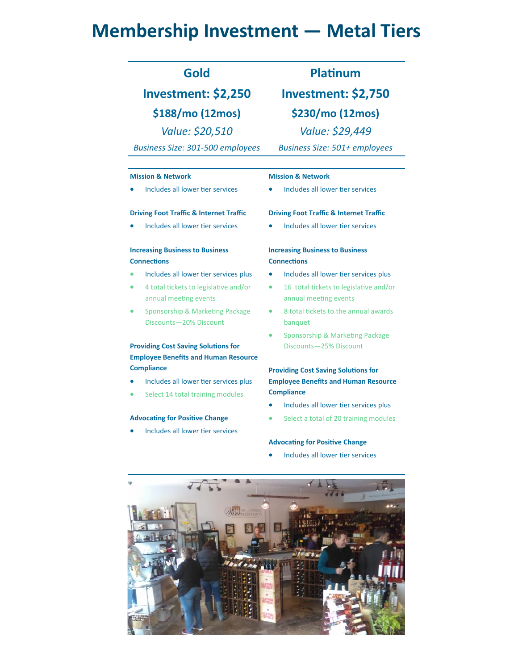## **Membership Investment — Metal Tiers**

### **Gold**

## **Investment: \$2,250 \$188/mo (12mos)** *Value: \$20,510*

*Business Size: 301-500 employees*

#### **Mission & Network**

Includes all lower tier services

#### **Driving Foot Traffic & Internet Traffic**

• Includes all lower tier services

#### **Increasing Business to Business Connections**

- Includes all lower tier services plus
- 4 total tickets to legislative and/or annual meeting events
- Sponsorship & Marketing Package Discounts—20% Discount

### **Providing Cost Saving Solutions for Employee Benefits and Human Resource Compliance**

- Includes all lower tier services plus
- Select 14 total training modules

#### **Advocating for Positive Change**

Includes all lower tier services

**Investment: \$2,750**

**\$230/mo (12mos)**

*Value: \$29,449*

*Business Size: 501+ employees*

#### **Mission & Network**

• Includes all lower tier services

#### **Driving Foot Traffic & Internet Traffic**

• Includes all lower tier services

#### **Increasing Business to Business Connections**

- Includes all lower tier services plus
- 16 total tickets to legislative and/or annual meeting events
- 8 total tickets to the annual awards banquet
- Sponsorship & Marketing Package Discounts—25% Discount

#### **Providing Cost Saving Solutions for Employee Benefits and Human Resource Compliance**

- Includes all lower tier services plus
- Select a total of 20 training modules

#### **Advocating for Positive Change**

• Includes all lower tier services



### **Platinum**